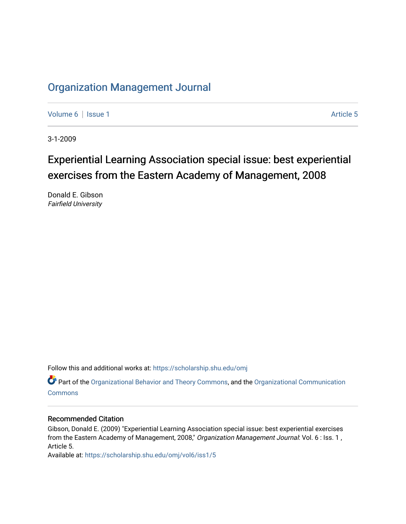### [Organization Management Journal](https://scholarship.shu.edu/omj)

[Volume 6](https://scholarship.shu.edu/omj/vol6) | [Issue 1](https://scholarship.shu.edu/omj/vol6/iss1) Article 5

3-1-2009

## Experiential Learning Association special issue: best experiential exercises from the Eastern Academy of Management, 2008

Donald E. Gibson Fairfield University

Follow this and additional works at: [https://scholarship.shu.edu/omj](https://scholarship.shu.edu/omj?utm_source=scholarship.shu.edu%2Fomj%2Fvol6%2Fiss1%2F5&utm_medium=PDF&utm_campaign=PDFCoverPages) 

Part of the [Organizational Behavior and Theory Commons,](http://network.bepress.com/hgg/discipline/639?utm_source=scholarship.shu.edu%2Fomj%2Fvol6%2Fiss1%2F5&utm_medium=PDF&utm_campaign=PDFCoverPages) and the [Organizational Communication](http://network.bepress.com/hgg/discipline/335?utm_source=scholarship.shu.edu%2Fomj%2Fvol6%2Fiss1%2F5&utm_medium=PDF&utm_campaign=PDFCoverPages) **[Commons](http://network.bepress.com/hgg/discipline/335?utm_source=scholarship.shu.edu%2Fomj%2Fvol6%2Fiss1%2F5&utm_medium=PDF&utm_campaign=PDFCoverPages)** 

#### Recommended Citation

Gibson, Donald E. (2009) "Experiential Learning Association special issue: best experiential exercises from the Eastern Academy of Management, 2008," Organization Management Journal: Vol. 6 : Iss. 1, Article 5.

Available at: [https://scholarship.shu.edu/omj/vol6/iss1/5](https://scholarship.shu.edu/omj/vol6/iss1/5?utm_source=scholarship.shu.edu%2Fomj%2Fvol6%2Fiss1%2F5&utm_medium=PDF&utm_campaign=PDFCoverPages)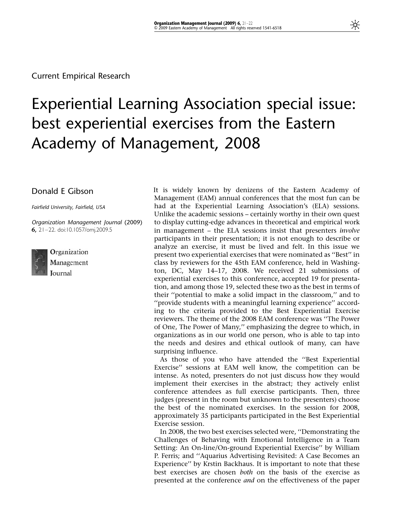# Experiential Learning Association special issue: best experiential exercises from the Eastern Academy of Management, 2008

#### Donald E Gibson

Fairfield University, Fairfield, USA

Organization Management Journal (2009) 6, 21–22. doi:10.1057/omj.2009.5



Organization Management **Iournal** 

It is widely known by denizens of the Eastern Academy of Management (EAM) annual conferences that the most fun can be had at the Experiential Learning Association's (ELA) sessions. Unlike the academic sessions – certainly worthy in their own quest to display cutting-edge advances in theoretical and empirical work in management – the ELA sessions insist that presenters involve participants in their presentation; it is not enough to describe or analyze an exercise, it must be lived and felt. In this issue we present two experiential exercises that were nominated as ''Best'' in class by reviewers for the 45th EAM conference, held in Washington, DC, May 14–17, 2008. We received 21 submissions of experiential exercises to this conference, accepted 19 for presentation, and among those 19, selected these two as the best in terms of their ''potential to make a solid impact in the classroom,'' and to ''provide students with a meaningful learning experience'' according to the criteria provided to the Best Experiential Exercise reviewers. The theme of the 2008 EAM conference was ''The Power of One, The Power of Many,'' emphasizing the degree to which, in organizations as in our world one person, who is able to tap into the needs and desires and ethical outlook of many, can have surprising influence.

As those of you who have attended the ''Best Experiential Exercise'' sessions at EAM well know, the competition can be intense. As noted, presenters do not just discuss how they would implement their exercises in the abstract; they actively enlist conference attendees as full exercise participants. Then, three judges (present in the room but unknown to the presenters) choose the best of the nominated exercises. In the session for 2008, approximately 35 participants participated in the Best Experiential Exercise session.

In 2008, the two best exercises selected were, ''Demonstrating the Challenges of Behaving with Emotional Intelligence in a Team Setting: An On-line/On-ground Experiential Exercise'' by William P. Ferris; and ''Aquarius Advertising Revisited: A Case Becomes an Experience'' by Krstin Backhaus. It is important to note that these best exercises are chosen both on the basis of the exercise as presented at the conference and on the effectiveness of the paper